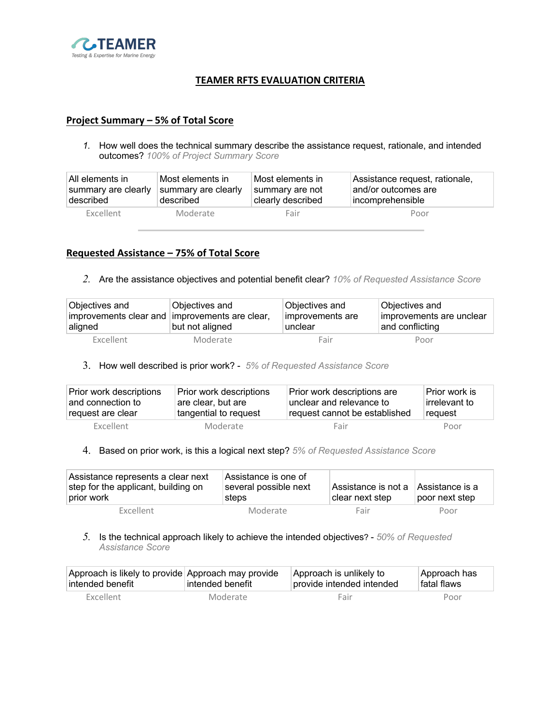

# **TEAMER RFTS EVALUATION CRITERIA**

## **Project Summary – 5% of Total Score**

*1.* How well does the technical summary describe the assistance request, rationale, and intended outcomes? *100% of Project Summary Score*

| ∣All elements in    | Most elements in    | Most elements in  | Assistance request, rationale, |
|---------------------|---------------------|-------------------|--------------------------------|
| summary are clearly | summary are clearly | summary are not   | and/or outcomes are            |
| described           | described           | clearly described | incomprehensible               |
| <b>Excellent</b>    | Moderate            | Fair              | Poor                           |

## **Requested Assistance – 75% of Total Score**

*2.* Are the assistance objectives and potential benefit clear? *10% of Requested Assistance Score*

| Objectives and<br>improvements clear and improvements are clear,<br>∣aligned | Objectives and<br>but not aligned | Objectives and<br>improvements are<br>unclear | Objectives and<br>improvements are unclear<br>and conflicting |
|------------------------------------------------------------------------------|-----------------------------------|-----------------------------------------------|---------------------------------------------------------------|
| <b>Excellent</b>                                                             | Moderate                          | Fair                                          | Poor                                                          |

3. How well described is prior work? - *5% of Requested Assistance Score*

| Prior work descriptions | Prior work descriptions | Prior work descriptions are   | Prior work is |
|-------------------------|-------------------------|-------------------------------|---------------|
| ∣and connection to      | are clear, but are      | unclear and relevance to      | irrelevant to |
| request are clear       | tangential to request   | request cannot be established | request       |
| <b>Excellent</b>        | Moderate                | Fair                          | Poor          |

#### 4. Based on prior work, is this a logical next step? *5% of Requested Assistance Score*

| Assistance represents a clear next<br>step for the applicant, building on<br>prior work | Assistance is one of<br>several possible next<br>steps | ∣Assistance is not a<br>clear next step | Assistance is a<br>poor next step |
|-----------------------------------------------------------------------------------------|--------------------------------------------------------|-----------------------------------------|-----------------------------------|
| <b>Excellent</b>                                                                        | Moderate                                               | Fair                                    | Poor                              |

## *5.* Is the technical approach likely to achieve the intended objectives? - *50% of Requested Assistance Score*

| Approach is likely to provide Approach may provide | ⊺intended benefit | Approach is unlikely to   | Approach has |
|----------------------------------------------------|-------------------|---------------------------|--------------|
| ⊺intended benefit                                  |                   | provide intended intended | ⊺fatal flaws |
| <b>Excellent</b>                                   | Moderate          | Fair                      | Poor         |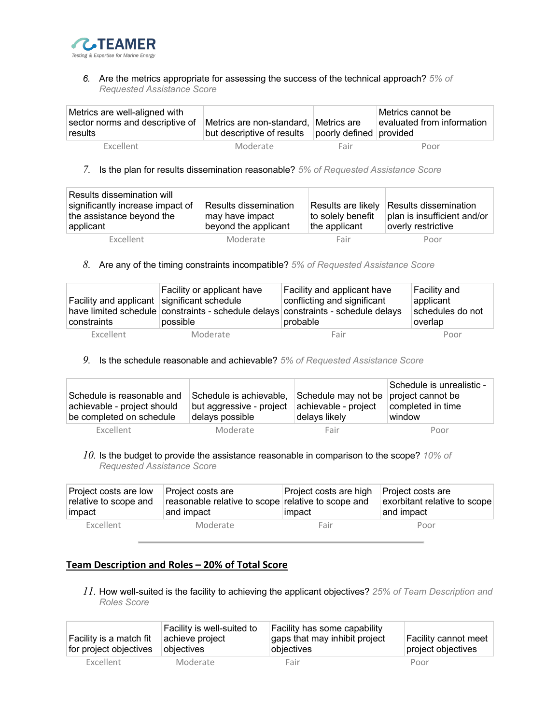

*6.* Are the metrics appropriate for assessing the success of the technical approach? *5% of Requested Assistance Score*

| Metrics are well-aligned with<br>sector norms and descriptive of<br>∣results | Metrics are non-standard, Metrics are<br>but descriptive of results | poorly defined provided | Metrics cannot be<br>evaluated from information |
|------------------------------------------------------------------------------|---------------------------------------------------------------------|-------------------------|-------------------------------------------------|
| <b>Excellent</b>                                                             | Moderate                                                            | Fair                    | Poor                                            |

*7.* Is the plan for results dissemination reasonable? *5% of Requested Assistance Score*

| Results dissemination will<br>significantly increase impact of<br>the assistance beyond the<br>applicant | Results dissemination<br>may have impact<br>beyond the applicant | to solely benefit<br>the applicant | Results are likely Results dissemination<br>plan is insufficient and/or<br>overly restrictive |
|----------------------------------------------------------------------------------------------------------|------------------------------------------------------------------|------------------------------------|-----------------------------------------------------------------------------------------------|
| <b>Excellent</b>                                                                                         | Moderate                                                         | Fair                               | Poor                                                                                          |

*8.* Are any of the timing constraints incompatible? *5% of Requested Assistance Score*

| Facility and applicant significant schedule<br>constraints | Facility or applicant have<br>possible | Facility and applicant have<br>conflicting and significant<br>have limited schedule constraints - schedule delays constraints - schedule delays<br>probable | Facility and<br>applicant<br>schedules do not<br>overlap |
|------------------------------------------------------------|----------------------------------------|-------------------------------------------------------------------------------------------------------------------------------------------------------------|----------------------------------------------------------|
| <b>Excellent</b>                                           | Moderate                               | Fair                                                                                                                                                        | Poor                                                     |

*9.* Is the schedule reasonable and achievable? *5% of Requested Assistance Score*

| Schedule is reasonable and  | Schedule is achievable,  | Schedule may not be project cannot be | Schedule is unrealistic - |
|-----------------------------|--------------------------|---------------------------------------|---------------------------|
| achievable - project should | but aggressive - project | achievable - project                  | completed in time         |
| be completed on schedule    | delays possible          | delays likely                         | window                    |
| Excellent                   | Moderate                 | Fair                                  | Poor                      |

*10.* Is the budget to provide the assistance reasonable in comparison to the scope? *10% of Requested Assistance Score*

| Project costs are low<br>relative to scope and<br>impact | Project costs are<br>reasonable relative to scope relative to scope and<br>and impact | Project costs are high Project costs are<br>impact | exorbitant relative to scope<br>and impact |
|----------------------------------------------------------|---------------------------------------------------------------------------------------|----------------------------------------------------|--------------------------------------------|
| Excellent                                                | Moderate                                                                              | Fair                                               | Poor                                       |

# **Team Description and Roles – 20% of Total Score**

*11.* How well-suited is the facility to achieving the applicant objectives? *25% of Team Description and Roles Score*

| Facility is a match fit<br>for project objectives | Facility is well-suited to<br>achieve project<br>obiectives | Facility has some capability<br>gaps that may inhibit project<br>objectives | Facility cannot meet<br>project objectives |
|---------------------------------------------------|-------------------------------------------------------------|-----------------------------------------------------------------------------|--------------------------------------------|
| <b>Excellent</b>                                  | Moderate                                                    | Fair                                                                        | Poor                                       |